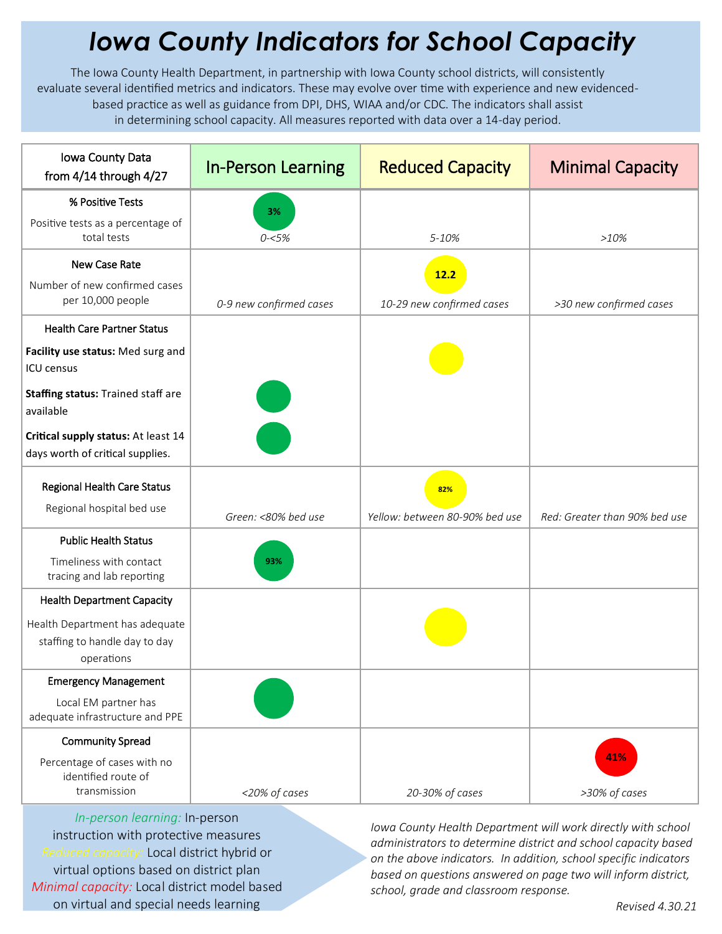## *Iowa County Indicators for School Capacity*

The Iowa County Health Department, in partnership with Iowa County school districts, will consistently evaluate several identified metrics and indicators. These may evolve over time with experience and new evidencedbased practice as well as guidance from DPI, DHS, WIAA and/or CDC. The indicators shall assist in determining school capacity. All measures reported with data over a 14-day period.

| Iowa County Data<br>from $4/14$ through $4/27$                                | <b>In-Person Learning</b> | <b>Reduced Capacity</b>               | <b>Minimal Capacity</b>       |
|-------------------------------------------------------------------------------|---------------------------|---------------------------------------|-------------------------------|
| % Positive Tests                                                              | 3%                        |                                       |                               |
| Positive tests as a percentage of<br>total tests                              | $0 - 5%$                  | 5-10%                                 | >10%                          |
| New Case Rate                                                                 |                           | 12.2                                  |                               |
| Number of new confirmed cases<br>per 10,000 people                            | 0-9 new confirmed cases   | 10-29 new confirmed cases             | >30 new confirmed cases       |
| <b>Health Care Partner Status</b>                                             |                           |                                       |                               |
| Facility use status: Med surg and<br><b>ICU</b> census                        |                           |                                       |                               |
| <b>Staffing status: Trained staff are</b><br>available                        |                           |                                       |                               |
| Critical supply status: At least 14<br>days worth of critical supplies.       |                           |                                       |                               |
| Regional Health Care Status<br>Regional hospital bed use                      | Green: <80% bed use       | 82%<br>Yellow: between 80-90% bed use | Red: Greater than 90% bed use |
| <b>Public Health Status</b>                                                   |                           |                                       |                               |
| Timeliness with contact<br>tracing and lab reporting                          | 93%                       |                                       |                               |
| <b>Health Department Capacity</b>                                             |                           |                                       |                               |
| Health Department has adequate<br>staffing to handle day to day<br>operations |                           |                                       |                               |
| <b>Emergency Management</b>                                                   |                           |                                       |                               |
| Local EM partner has<br>adequate infrastructure and PPE                       |                           |                                       |                               |
| <b>Community Spread</b>                                                       |                           |                                       |                               |
| Percentage of cases with no<br>identified route of<br>transmission            | <20% of cases             | 20-30% of cases                       | 41%<br>>30% of cases          |

*In-person learning:* In-person instruction with protective measures *Reduced capacity:* Local district hybrid or virtual options based on district plan *Minimal capacity:* Local district model based on virtual and special needs learning

*Iowa County Health Department will work directly with school administrators to determine district and school capacity based on the above indicators. In addition, school specific indicators based on questions answered on page two will inform district, school, grade and classroom response.*